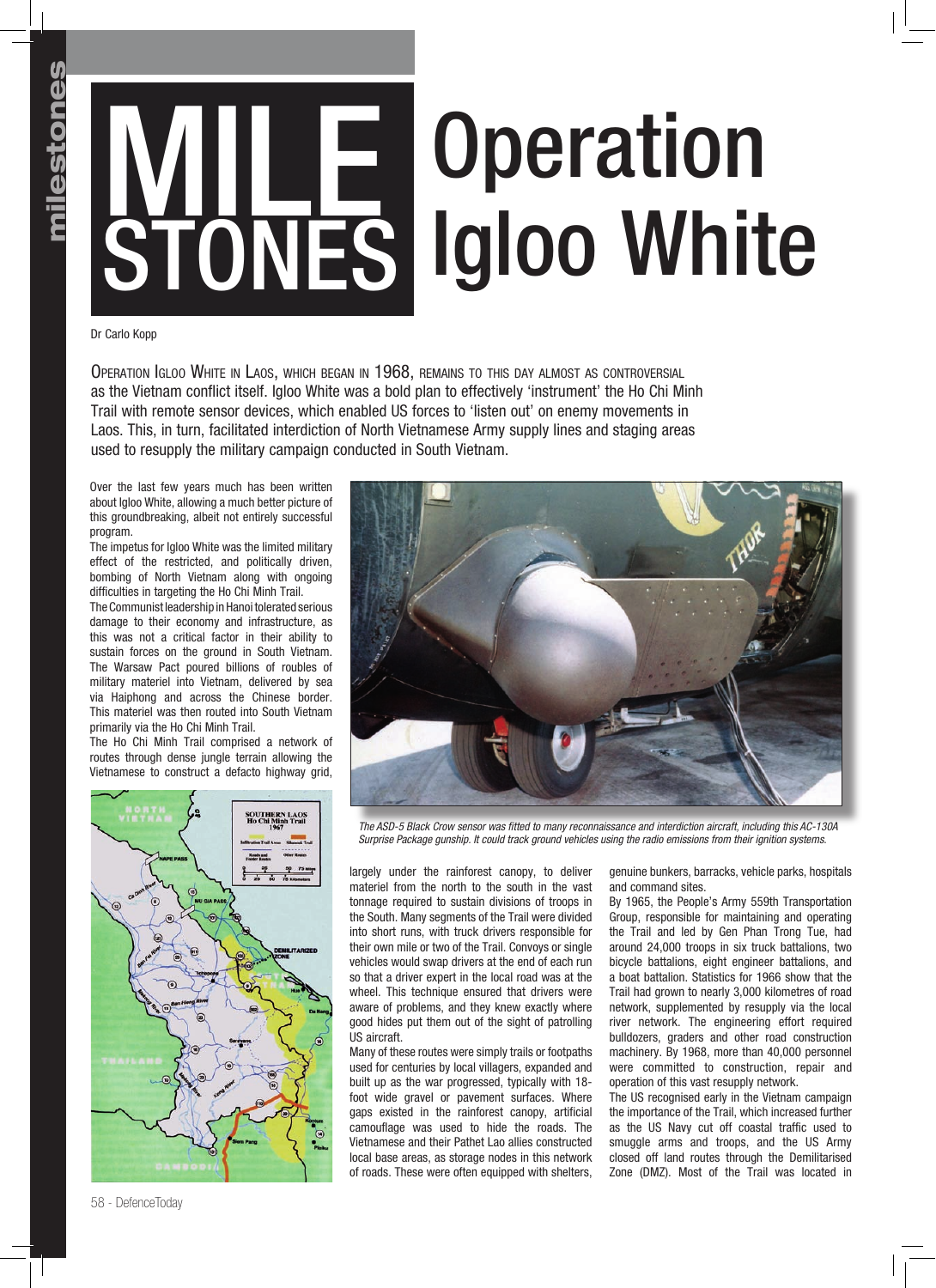## MILE **STONES Operation** Igloo White

Dr Carlo Kopp

Operation Igloo White in Laos, which began in 1968, remains to this day almost as controversial as the Vietnam conflict itself. Igloo White was a bold plan to effectively 'instrument' the Ho Chi Minh Trail with remote sensor devices, which enabled US forces to 'listen out' on enemy movements in Laos. This, in turn, facilitated interdiction of North Vietnamese Army supply lines and staging areas used to resupply the military campaign conducted in South Vietnam.

Over the last few years much has been written about Igloo White, allowing a much better picture of this groundbreaking, albeit not entirely successful program.

The impetus for Igloo White was the limited military effect of the restricted, and politically driven, bombing of North Vietnam along with ongoing difficulties in targeting the Ho Chi Minh Trail.

The Communist leadership in Hanoi tolerated serious damage to their economy and infrastructure, as this was not a critical factor in their ability to sustain forces on the ground in South Vietnam. The Warsaw Pact poured billions of roubles of military materiel into Vietnam, delivered by sea via Haiphong and across the Chinese border. This materiel was then routed into South Vietnam primarily via the Ho Chi Minh Trail.

The Ho Chi Minh Trail comprised a network of routes through dense jungle terrain allowing the Vietnamese to construct a defacto highway grid,





The ASD-5 Black Crow sensor was fitted to many reconnaissance and interdiction aircraft, including this AC-130A *Surprise Package gunship. It could track ground vehicles using the radio emissions from their ignition systems.*

largely under the rainforest canopy, to deliver materiel from the north to the south in the vast tonnage required to sustain divisions of troops in the South. Many segments of the Trail were divided into short runs, with truck drivers responsible for their own mile or two of the Trail. Convoys or single vehicles would swap drivers at the end of each run so that a driver expert in the local road was at the wheel. This technique ensured that drivers were aware of problems, and they knew exactly where good hides put them out of the sight of patrolling US aircraft.

Many of these routes were simply trails or footpaths used for centuries by local villagers, expanded and built up as the war progressed, typically with 18 foot wide gravel or pavement surfaces. Where gaps existed in the rainforest canopy, artificial camouflage was used to hide the roads. The Vietnamese and their Pathet Lao allies constructed local base areas, as storage nodes in this network of roads. These were often equipped with shelters,

genuine bunkers, barracks, vehicle parks, hospitals and command sites.

By 1965, the People's Army 559th Transportation Group, responsible for maintaining and operating the Trail and led by Gen Phan Trong Tue, had around 24,000 troops in six truck battalions, two bicycle battalions, eight engineer battalions, and a boat battalion. Statistics for 1966 show that the Trail had grown to nearly 3,000 kilometres of road network, supplemented by resupply via the local river network. The engineering effort required bulldozers, graders and other road construction machinery. By 1968, more than 40,000 personnel were committed to construction, repair and operation of this vast resupply network.

The US recognised early in the Vietnam campaign the importance of the Trail, which increased further as the US Navy cut off coastal traffic used to smuggle arms and troops, and the US Army closed off land routes through the Demilitarised Zone (DMZ). Most of the Trail was located in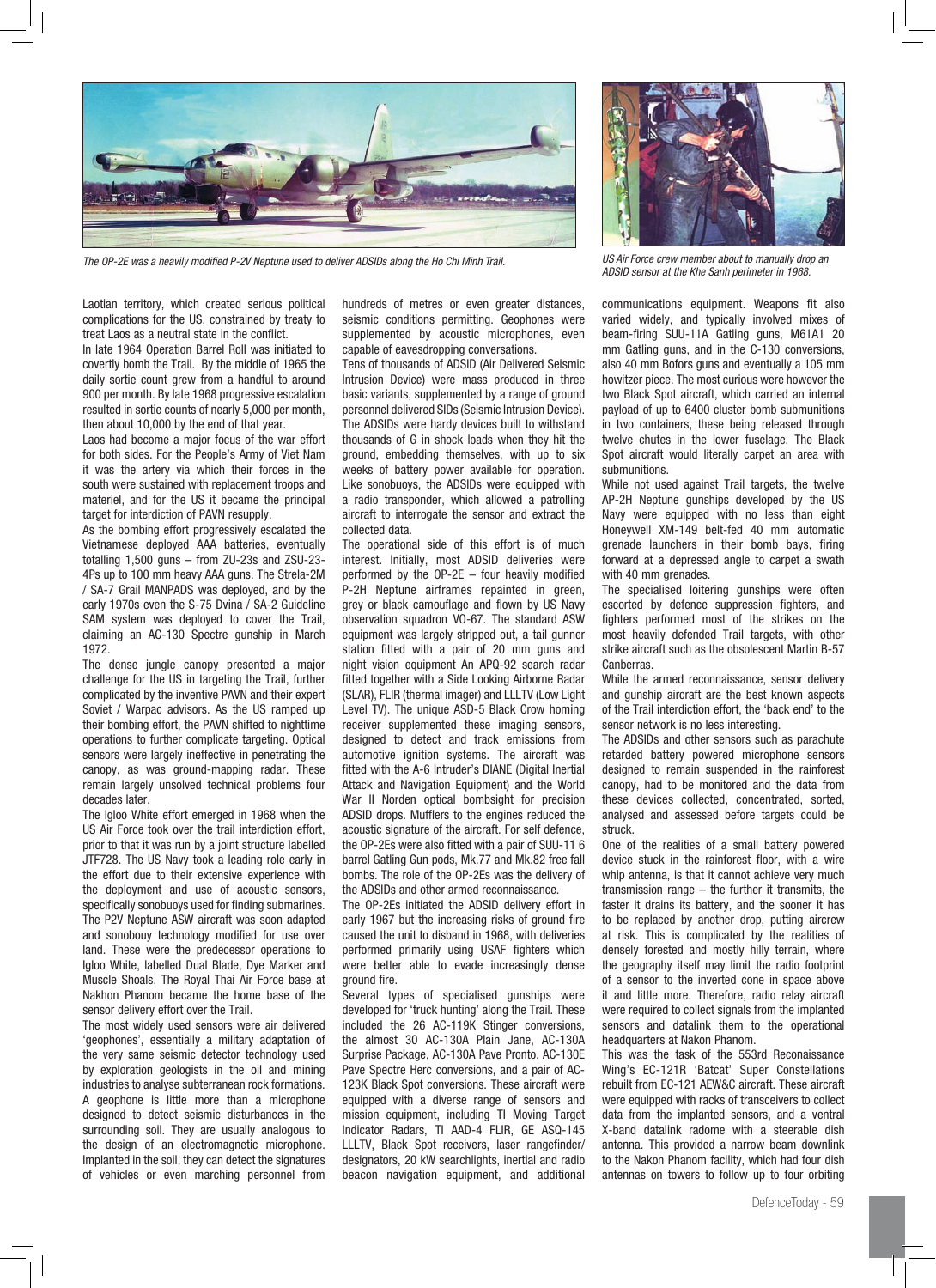

*ADSID sensor at the Khe Sanh perimeter in 1968. The OP-2E was a heavily modified P-2V Neptune used to deliver ADSIDs along the Ho Chi Minh Trail.*

Laotian territory, which created serious political complications for the US, constrained by treaty to treat Laos as a neutral state in the conflict.

In late 1964 Operation Barrel Roll was initiated to covertly bomb the Trail. By the middle of 1965 the daily sortie count grew from a handful to around 900 per month. By late 1968 progressive escalation resulted in sortie counts of nearly 5,000 per month, then about 10,000 by the end of that year.

Laos had become a major focus of the war effort for both sides. For the People's Army of Viet Nam it was the artery via which their forces in the south were sustained with replacement troops and materiel, and for the US it became the principal target for interdiction of PAVN resupply.

As the bombing effort progressively escalated the Vietnamese deployed AAA batteries, eventually totalling 1,500 guns – from ZU-23s and ZSU-23- 4Ps up to 100 mm heavy AAA guns. The Strela-2M / SA-7 Grail MANPADS was deployed, and by the early 1970s even the S-75 Dvina / SA-2 Guideline SAM system was deployed to cover the Trail, claiming an AC-130 Spectre gunship in March 1972.

The dense jungle canopy presented a major challenge for the US in targeting the Trail, further complicated by the inventive PAVN and their expert Soviet / Warpac advisors. As the US ramped up their bombing effort, the PAVN shifted to nighttime operations to further complicate targeting. Optical sensors were largely ineffective in penetrating the canopy, as was ground-mapping radar. These remain largely unsolved technical problems four decades later.

The Igloo White effort emerged in 1968 when the US Air Force took over the trail interdiction effort, prior to that it was run by a joint structure labelled JTF728. The US Navy took a leading role early in the effort due to their extensive experience with the deployment and use of acoustic sensors, specifically sonobuoys used for finding submarines. The P2V Neptune ASW aircraft was soon adapted and sonobouy technology modified for use over land. These were the predecessor operations to Igloo White, labelled Dual Blade, Dye Marker and Muscle Shoals. The Royal Thai Air Force base at Nakhon Phanom became the home base of the sensor delivery effort over the Trail.

The most widely used sensors were air delivered 'geophones', essentially a military adaptation of the very same seismic detector technology used by exploration geologists in the oil and mining industries to analyse subterranean rock formations. A geophone is little more than a microphone designed to detect seismic disturbances in the surrounding soil. They are usually analogous to the design of an electromagnetic microphone. Implanted in the soil, they can detect the signatures of vehicles or even marching personnel from hundreds of metres or even greater distances, seismic conditions permitting. Geophones were supplemented by acoustic microphones, even capable of eavesdropping conversations.

Tens of thousands of ADSID (Air Delivered Seismic Intrusion Device) were mass produced in three basic variants, supplemented by a range of ground personnel delivered SIDs (Seismic Intrusion Device). The ADSIDs were hardy devices built to withstand thousands of G in shock loads when they hit the ground, embedding themselves, with up to six weeks of battery power available for operation. Like sonobuoys, the ADSIDs were equipped with a radio transponder, which allowed a patrolling aircraft to interrogate the sensor and extract the collected data.

The operational side of this effort is of much interest. Initially, most ADSID deliveries were performed by the OP-2E – four heavily modified P-2H Neptune airframes repainted in green, grey or black camouflage and flown by US Navy observation squadron VO-67. The standard ASW equipment was largely stripped out, a tail gunner station fitted with a pair of 20 mm guns and night vision equipment An APQ-92 search radar fitted together with a Side Looking Airborne Radar (SLAR), FLIR (thermal imager) and LLLTV (Low Light Level TV). The unique ASD-5 Black Crow homing receiver supplemented these imaging sensors, designed to detect and track emissions from automotive ignition systems. The aircraft was fitted with the A-6 Intruder's DIANE (Digital Inertial Attack and Navigation Equipment) and the World War II Norden optical bombsight for precision ADSID drops. Mufflers to the engines reduced the acoustic signature of the aircraft. For self defence, the OP-2Es were also fitted with a pair of SUU-11 6 barrel Gatling Gun pods, Mk.77 and Mk.82 free fall bombs. The role of the OP-2Es was the delivery of the ADSIDs and other armed reconnaissance.

The OP-2Es initiated the ADSID delivery effort in early 1967 but the increasing risks of ground fire caused the unit to disband in 1968, with deliveries performed primarily using USAF fighters which were better able to evade increasingly dense ground fire.

Several types of specialised gunships were developed for 'truck hunting' along the Trail. These included the 26 AC-119K Stinger conversions, the almost 30 AC-130A Plain Jane, AC-130A Surprise Package, AC-130A Pave Pronto, AC-130E Pave Spectre Herc conversions, and a pair of AC-123K Black Spot conversions. These aircraft were equipped with a diverse range of sensors and mission equipment, including TI Moving Target Indicator Radars, TI AAD-4 FLIR, GE ASQ-145 LLLTV, Black Spot receivers, laser rangefinder/ designators, 20 kW searchlights, inertial and radio beacon navigation equipment, and additional



*US Air Force crew member about to manually drop an* 

communications equipment. Weapons fit also varied widely, and typically involved mixes of beam-firing SUU-11A Gatling guns, M61A1 20 mm Gatling guns, and in the C-130 conversions, also 40 mm Bofors guns and eventually a 105 mm howitzer piece. The most curious were however the two Black Spot aircraft, which carried an internal payload of up to 6400 cluster bomb submunitions in two containers, these being released through twelve chutes in the lower fuselage. The Black Spot aircraft would literally carpet an area with submunitions.

While not used against Trail targets, the twelve AP-2H Neptune gunships developed by the US Navy were equipped with no less than eight Honeywell XM-149 belt-fed 40 mm automatic grenade launchers in their bomb bays, firing forward at a depressed angle to carpet a swath with 40 mm grenades.

The specialised loitering gunships were often escorted by defence suppression fighters, and fighters performed most of the strikes on the most heavily defended Trail targets, with other strike aircraft such as the obsolescent Martin B-57 Canberras.

While the armed reconnaissance, sensor delivery and gunship aircraft are the best known aspects of the Trail interdiction effort, the 'back end' to the sensor network is no less interesting.

The ADSIDs and other sensors such as parachute retarded battery powered microphone sensors designed to remain suspended in the rainforest canopy, had to be monitored and the data from these devices collected, concentrated, sorted, analysed and assessed before targets could be struck.

One of the realities of a small battery powered device stuck in the rainforest floor, with a wire whip antenna, is that it cannot achieve very much transmission range – the further it transmits, the faster it drains its battery, and the sooner it has to be replaced by another drop, putting aircrew at risk. This is complicated by the realities of densely forested and mostly hilly terrain, where the geography itself may limit the radio footprint of a sensor to the inverted cone in space above it and little more. Therefore, radio relay aircraft were required to collect signals from the implanted sensors and datalink them to the operational headquarters at Nakon Phanom.

This was the task of the 553rd Reconaissance Wing's EC-121R 'Batcat' Super Constellations rebuilt from EC-121 AEW&C aircraft. These aircraft were equipped with racks of transceivers to collect data from the implanted sensors, and a ventral X-band datalink radome with a steerable dish antenna. This provided a narrow beam downlink to the Nakon Phanom facility, which had four dish antennas on towers to follow up to four orbiting